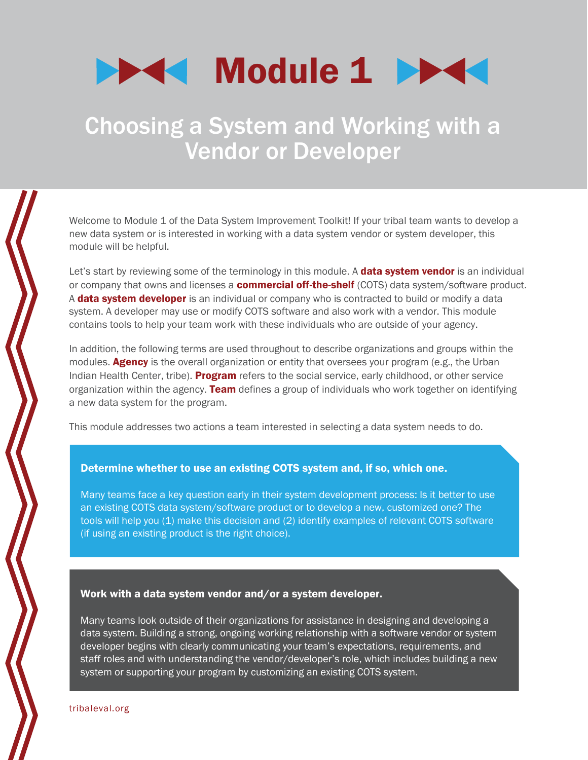

# Choosing a System and Working with a Vendor or Developer

Welcome to Module 1 of the Data System Improvement Toolkit! If your tribal team wants to develop a new data system or is interested in working with a data system vendor or system developer, this module will be helpful.

Let's start by reviewing some of the terminology in this module. A **data system vendor** is an individual or company that owns and licenses a **commercial off-the-shelf** (COTS) data system/software product. A **data system developer** is an individual or company who is contracted to build or modify a data system. A developer may use or modify COTS software and also work with a vendor. This module contains tools to help your team work with these individuals who are outside of your agency.

In addition, the following terms are used throughout to describe organizations and groups within the modules. **Agency** is the overall organization or entity that oversees your program (e.g., the Urban Indian Health Center, tribe). Program refers to the social service, early childhood, or other service organization within the agency. **Team** defines a group of individuals who work together on identifying a new data system for the program.

This module addresses two actions a team interested in selecting a data system needs to do.

### Determine whether to use an existing COTS system and, if so, which one.

Many teams face a key question early in their system development process: Is it better to use an existing COTS data system/software product or to develop a new, customized one? The tools will help you (1) make this decision and (2) identify examples of relevant COTS software (if using an existing product is the right choice).

#### Work with a data system vendor and/or a system developer.

Many teams look outside of their organizations for assistance in designing and developing a data system. Building a strong, ongoing working relationship with a software vendor or system developer begins with clearly communicating your team's expectations, requirements, and staff roles and with understanding the vendor/developer's role, which includes building a new system or supporting your program by customizing an existing COTS system.

[tribaleval.org](http://www.tribaleval.org/)